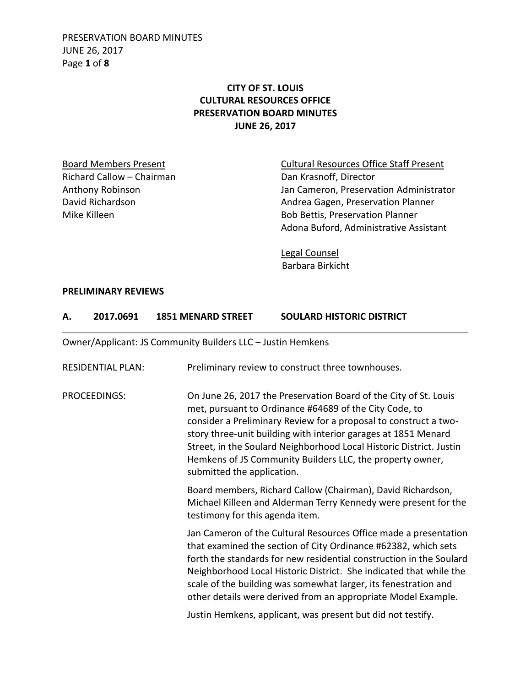PRESERVATION BOARD MINUTES JUNE 26, 2017 Page **1** of **8**

### **CITY OF ST. LOUIS CULTURAL RESOURCES OFFICE PRESERVATION BOARD MINUTES JUNE 26, 2017**

Richard Callow – Chairman Dan Krasnoff, Director

Board Members Present **Cultural Resources Office Staff Present** Anthony Robinson **Anthony Robinson** Jan Cameron, Preservation Administrator David Richardson **Andrea Gagen, Preservation Planner** Mike Killeen **Bob Bettis, Preservation Planner** Adona Buford, Administrative Assistant

> Legal Counsel Barbara Birkicht

#### **PRELIMINARY REVIEWS**

| 2017.0691<br><b>1851 MENARD STREET</b> | <b>SOULARD HISTORIC DISTRICT</b> |
|----------------------------------------|----------------------------------|
|----------------------------------------|----------------------------------|

Owner/Applicant: JS Community Builders LLC – Justin Hemkens

| <b>RESIDENTIAL PLAN:</b> | Preliminary review to construct three townhouses.                                                                                                                                                                                                                                                                                                                                                                                  |
|--------------------------|------------------------------------------------------------------------------------------------------------------------------------------------------------------------------------------------------------------------------------------------------------------------------------------------------------------------------------------------------------------------------------------------------------------------------------|
| <b>PROCEEDINGS:</b>      | On June 26, 2017 the Preservation Board of the City of St. Louis<br>met, pursuant to Ordinance #64689 of the City Code, to<br>consider a Preliminary Review for a proposal to construct a two-<br>story three-unit building with interior garages at 1851 Menard<br>Street, in the Soulard Neighborhood Local Historic District. Justin<br>Hemkens of JS Community Builders LLC, the property owner,<br>submitted the application. |
|                          | Board members, Richard Callow (Chairman), David Richardson,<br>Michael Killeen and Alderman Terry Kennedy were present for the<br>testimony for this agenda item.                                                                                                                                                                                                                                                                  |
|                          | Jan Cameron of the Cultural Resources Office made a presentation<br>that examined the section of City Ordinance #62382, which sets<br>forth the standards for new residential construction in the Soulard<br>Neighborhood Local Historic District. She indicated that while the<br>scale of the building was somewhat larger, its fenestration and<br>other details were derived from an appropriate Model Example.                |
|                          | Justin Hemkens, applicant, was present but did not testify.                                                                                                                                                                                                                                                                                                                                                                        |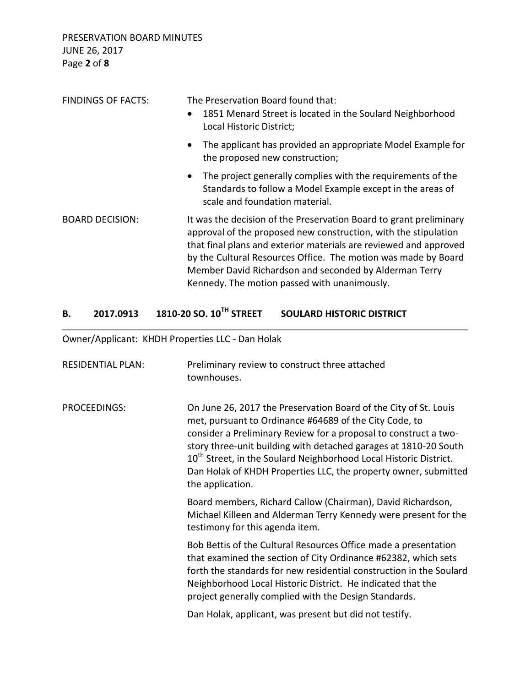PRESERVATION BOARD MINUTES JUNE 26, 2017 Page **2** of **8**

| <b>FINDINGS OF FACTS:</b> | The Preservation Board found that:<br>1851 Menard Street is located in the Soulard Neighborhood<br>$\bullet$<br>Local Historic District;                                                                                                                                                                                                                                               |
|---------------------------|----------------------------------------------------------------------------------------------------------------------------------------------------------------------------------------------------------------------------------------------------------------------------------------------------------------------------------------------------------------------------------------|
|                           | The applicant has provided an appropriate Model Example for<br>$\bullet$<br>the proposed new construction;                                                                                                                                                                                                                                                                             |
|                           | The project generally complies with the requirements of the<br>$\bullet$<br>Standards to follow a Model Example except in the areas of<br>scale and foundation material.                                                                                                                                                                                                               |
| <b>BOARD DECISION:</b>    | It was the decision of the Preservation Board to grant preliminary<br>approval of the proposed new construction, with the stipulation<br>that final plans and exterior materials are reviewed and approved<br>by the Cultural Resources Office. The motion was made by Board<br>Member David Richardson and seconded by Alderman Terry<br>Kennedy. The motion passed with unanimously. |

## **B. 2017.0913 1810-20 SO. 10TH STREET SOULARD HISTORIC DISTRICT**

Owner/Applicant: KHDH Properties LLC - Dan Holak

| <b>RESIDENTIAL PLAN:</b> | Preliminary review to construct three attached<br>townhouses.                                                                                                                                                                                                                                                                                                                                                                              |
|--------------------------|--------------------------------------------------------------------------------------------------------------------------------------------------------------------------------------------------------------------------------------------------------------------------------------------------------------------------------------------------------------------------------------------------------------------------------------------|
| PROCEEDINGS:             | On June 26, 2017 the Preservation Board of the City of St. Louis<br>met, pursuant to Ordinance #64689 of the City Code, to<br>consider a Preliminary Review for a proposal to construct a two-<br>story three-unit building with detached garages at 1810-20 South<br>10 <sup>th</sup> Street, in the Soulard Neighborhood Local Historic District.<br>Dan Holak of KHDH Properties LLC, the property owner, submitted<br>the application. |
|                          | Board members, Richard Callow (Chairman), David Richardson,<br>Michael Killeen and Alderman Terry Kennedy were present for the<br>testimony for this agenda item.                                                                                                                                                                                                                                                                          |
|                          | Bob Bettis of the Cultural Resources Office made a presentation<br>that examined the section of City Ordinance #62382, which sets<br>forth the standards for new residential construction in the Soulard<br>Neighborhood Local Historic District. He indicated that the<br>project generally complied with the Design Standards.                                                                                                           |
|                          | Dan Holak, applicant, was present but did not testify.                                                                                                                                                                                                                                                                                                                                                                                     |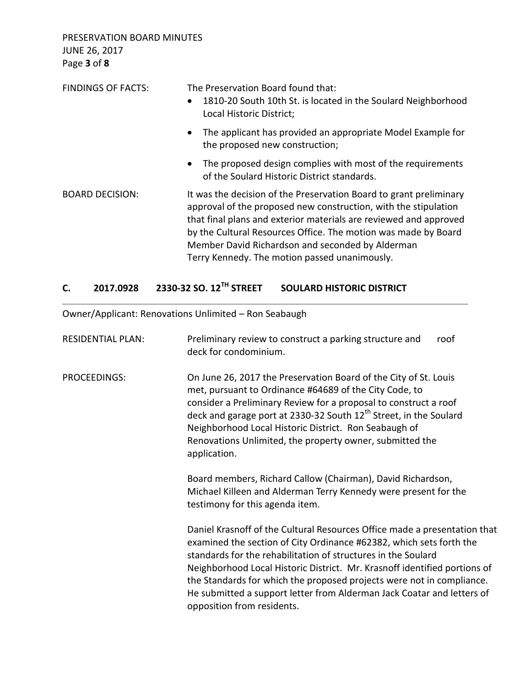PRESERVATION BOARD MINUTES JUNE 26, 2017 Page **3** of **8**

| <b>FINDINGS OF FACTS:</b> | The Preservation Board found that:<br>1810-20 South 10th St. is located in the Soulard Neighborhood<br>$\bullet$<br>Local Historic District;                                                                                                                                                                                                                                      |
|---------------------------|-----------------------------------------------------------------------------------------------------------------------------------------------------------------------------------------------------------------------------------------------------------------------------------------------------------------------------------------------------------------------------------|
|                           | The applicant has provided an appropriate Model Example for<br>$\bullet$<br>the proposed new construction;                                                                                                                                                                                                                                                                        |
|                           | • The proposed design complies with most of the requirements<br>of the Soulard Historic District standards.                                                                                                                                                                                                                                                                       |
| <b>BOARD DECISION:</b>    | It was the decision of the Preservation Board to grant preliminary<br>approval of the proposed new construction, with the stipulation<br>that final plans and exterior materials are reviewed and approved<br>by the Cultural Resources Office. The motion was made by Board<br>Member David Richardson and seconded by Alderman<br>Terry Kennedy. The motion passed unanimously. |

## **C. 2017.0928 2330-32 SO. 12TH STREET SOULARD HISTORIC DISTRICT**

Owner/Applicant: Renovations Unlimited – Ron Seabaugh

| <b>RESIDENTIAL PLAN:</b> | Preliminary review to construct a parking structure and<br>roof<br>deck for condominium.                                                                                                                                                                                                                                                                                                                                                                                        |
|--------------------------|---------------------------------------------------------------------------------------------------------------------------------------------------------------------------------------------------------------------------------------------------------------------------------------------------------------------------------------------------------------------------------------------------------------------------------------------------------------------------------|
| PROCEEDINGS:             | On June 26, 2017 the Preservation Board of the City of St. Louis<br>met, pursuant to Ordinance #64689 of the City Code, to<br>consider a Preliminary Review for a proposal to construct a roof<br>deck and garage port at 2330-32 South 12 <sup>th</sup> Street, in the Soulard<br>Neighborhood Local Historic District. Ron Seabaugh of<br>Renovations Unlimited, the property owner, submitted the<br>application.                                                            |
|                          | Board members, Richard Callow (Chairman), David Richardson,<br>Michael Killeen and Alderman Terry Kennedy were present for the<br>testimony for this agenda item.                                                                                                                                                                                                                                                                                                               |
|                          | Daniel Krasnoff of the Cultural Resources Office made a presentation that<br>examined the section of City Ordinance #62382, which sets forth the<br>standards for the rehabilitation of structures in the Soulard<br>Neighborhood Local Historic District. Mr. Krasnoff identified portions of<br>the Standards for which the proposed projects were not in compliance.<br>He submitted a support letter from Alderman Jack Coatar and letters of<br>opposition from residents. |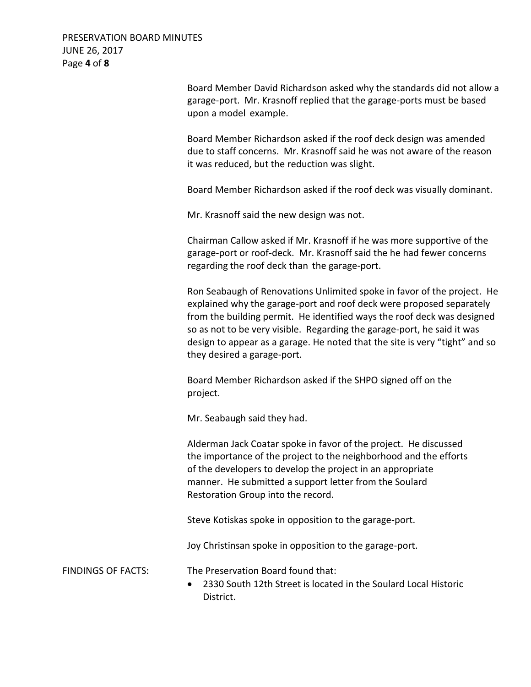PRESERVATION BOARD MINUTES JUNE 26, 2017 Page **4** of **8**

> Board Member David Richardson asked why the standards did not allow a garage-port. Mr. Krasnoff replied that the garage-ports must be based upon a model example.

Board Member Richardson asked if the roof deck design was amended due to staff concerns. Mr. Krasnoff said he was not aware of the reason it was reduced, but the reduction was slight.

Board Member Richardson asked if the roof deck was visually dominant.

Mr. Krasnoff said the new design was not.

Chairman Callow asked if Mr. Krasnoff if he was more supportive of the garage-port or roof-deck. Mr. Krasnoff said the he had fewer concerns regarding the roof deck than the garage-port.

Ron Seabaugh of Renovations Unlimited spoke in favor of the project. He explained why the garage-port and roof deck were proposed separately from the building permit. He identified ways the roof deck was designed so as not to be very visible. Regarding the garage-port, he said it was design to appear as a garage. He noted that the site is very "tight" and so they desired a garage-port.

Board Member Richardson asked if the SHPO signed off on the project.

Mr. Seabaugh said they had.

Alderman Jack Coatar spoke in favor of the project. He discussed the importance of the project to the neighborhood and the efforts of the developers to develop the project in an appropriate manner. He submitted a support letter from the Soulard Restoration Group into the record.

Steve Kotiskas spoke in opposition to the garage-port.

Joy Christinsan spoke in opposition to the garage-port.

FINDINGS OF FACTS: The Preservation Board found that:

 2330 South 12th Street is located in the Soulard Local Historic District.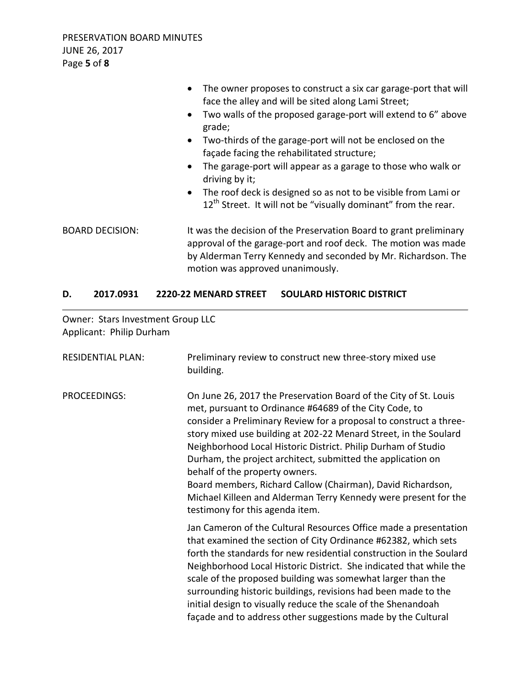|                        | The owner proposes to construct a six car garage-port that will<br>$\bullet$<br>face the alley and will be sited along Lami Street;<br>Two walls of the proposed garage-port will extend to 6" above<br>$\bullet$<br>grade;               |
|------------------------|-------------------------------------------------------------------------------------------------------------------------------------------------------------------------------------------------------------------------------------------|
|                        | Two-thirds of the garage-port will not be enclosed on the<br>$\bullet$<br>façade facing the rehabilitated structure;                                                                                                                      |
|                        | The garage-port will appear as a garage to those who walk or<br>$\bullet$<br>driving by it;                                                                                                                                               |
|                        | The roof deck is designed so as not to be visible from Lami or<br>$\bullet$<br>12 <sup>th</sup> Street. It will not be "visually dominant" from the rear.                                                                                 |
| <b>BOARD DECISION:</b> | It was the decision of the Preservation Board to grant preliminary<br>approval of the garage-port and roof deck. The motion was made<br>by Alderman Terry Kennedy and seconded by Mr. Richardson. The<br>motion was approved unanimously. |

#### **D. 2017.0931 2220-22 MENARD STREET SOULARD HISTORIC DISTRICT**

Owner: Stars Investment Group LLC Applicant: Philip Durham

| <b>RESIDENTIAL PLAN:</b> | Preliminary review to construct new three-story mixed use<br>building.                                                                                                                                                                                                                                                                                                                                                                                                                                                                                                                                      |
|--------------------------|-------------------------------------------------------------------------------------------------------------------------------------------------------------------------------------------------------------------------------------------------------------------------------------------------------------------------------------------------------------------------------------------------------------------------------------------------------------------------------------------------------------------------------------------------------------------------------------------------------------|
| PROCEEDINGS:             | On June 26, 2017 the Preservation Board of the City of St. Louis<br>met, pursuant to Ordinance #64689 of the City Code, to<br>consider a Preliminary Review for a proposal to construct a three-<br>story mixed use building at 202-22 Menard Street, in the Soulard<br>Neighborhood Local Historic District. Philip Durham of Studio<br>Durham, the project architect, submitted the application on<br>behalf of the property owners.<br>Board members, Richard Callow (Chairman), David Richardson,<br>Michael Killeen and Alderman Terry Kennedy were present for the<br>testimony for this agenda item. |
|                          | Jan Cameron of the Cultural Resources Office made a presentation<br>that examined the section of City Ordinance #62382, which sets<br>forth the standards for new residential construction in the Soulard<br>Neighborhood Local Historic District. She indicated that while the<br>scale of the proposed building was somewhat larger than the<br>surrounding historic buildings, revisions had been made to the<br>initial design to visually reduce the scale of the Shenandoah<br>façade and to address other suggestions made by the Cultural                                                           |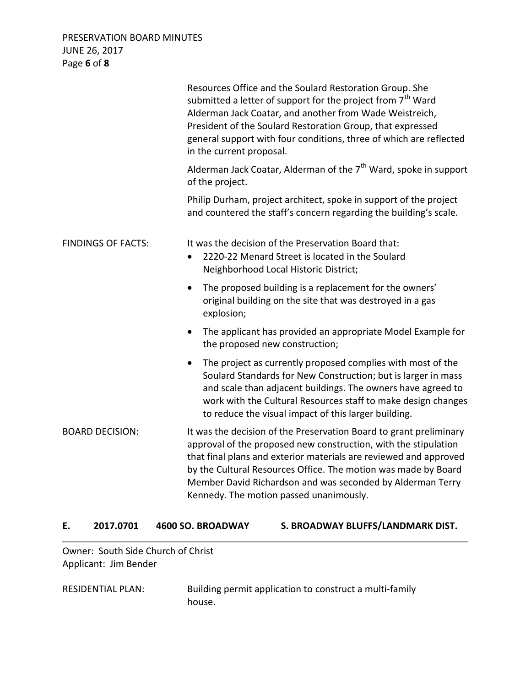PRESERVATION BOARD MINUTES JUNE 26, 2017 Page **6** of **8**

|                           | Resources Office and the Soulard Restoration Group. She<br>submitted a letter of support for the project from 7 <sup>th</sup> Ward<br>Alderman Jack Coatar, and another from Wade Weistreich,<br>President of the Soulard Restoration Group, that expressed<br>general support with four conditions, three of which are reflected<br>in the current proposal.                         |
|---------------------------|---------------------------------------------------------------------------------------------------------------------------------------------------------------------------------------------------------------------------------------------------------------------------------------------------------------------------------------------------------------------------------------|
|                           | Alderman Jack Coatar, Alderman of the $7th$ Ward, spoke in support<br>of the project.                                                                                                                                                                                                                                                                                                 |
|                           | Philip Durham, project architect, spoke in support of the project<br>and countered the staff's concern regarding the building's scale.                                                                                                                                                                                                                                                |
| <b>FINDINGS OF FACTS:</b> | It was the decision of the Preservation Board that:<br>2220-22 Menard Street is located in the Soulard<br>Neighborhood Local Historic District;                                                                                                                                                                                                                                       |
|                           | The proposed building is a replacement for the owners'<br>$\bullet$<br>original building on the site that was destroyed in a gas<br>explosion;                                                                                                                                                                                                                                        |
|                           | The applicant has provided an appropriate Model Example for<br>$\bullet$<br>the proposed new construction;                                                                                                                                                                                                                                                                            |
|                           | The project as currently proposed complies with most of the<br>$\bullet$<br>Soulard Standards for New Construction; but is larger in mass<br>and scale than adjacent buildings. The owners have agreed to<br>work with the Cultural Resources staff to make design changes<br>to reduce the visual impact of this larger building.                                                    |
| <b>BOARD DECISION:</b>    | It was the decision of the Preservation Board to grant preliminary<br>approval of the proposed new construction, with the stipulation<br>that final plans and exterior materials are reviewed and approved<br>by the Cultural Resources Office. The motion was made by Board<br>Member David Richardson and was seconded by Alderman Terry<br>Kennedy. The motion passed unanimously. |

#### **E. 2017.0701 4600 SO. BROADWAY S. BROADWAY BLUFFS/LANDMARK DIST.**

Owner: South Side Church of Christ Applicant: Jim Bender

RESIDENTIAL PLAN: Building permit application to construct a multi-family house.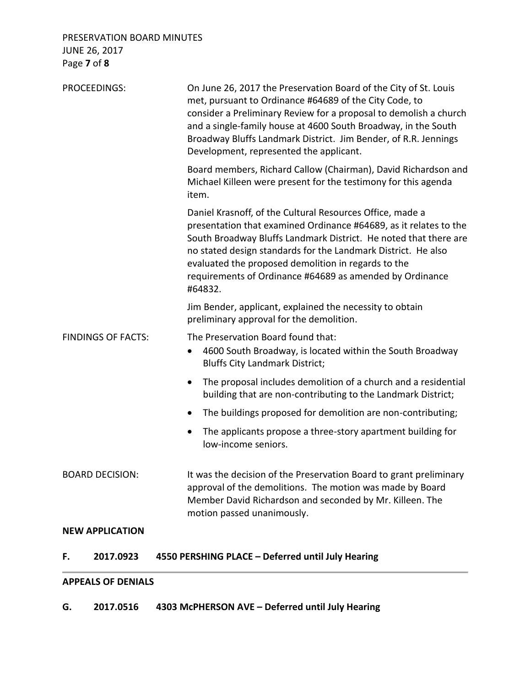PRESERVATION BOARD MINUTES JUNE 26, 2017 Page **7** of **8**

| <b>PROCEEDINGS:</b>       | On June 26, 2017 the Preservation Board of the City of St. Louis<br>met, pursuant to Ordinance #64689 of the City Code, to<br>consider a Preliminary Review for a proposal to demolish a church<br>and a single-family house at 4600 South Broadway, in the South<br>Broadway Bluffs Landmark District. Jim Bender, of R.R. Jennings<br>Development, represented the applicant.                   |
|---------------------------|---------------------------------------------------------------------------------------------------------------------------------------------------------------------------------------------------------------------------------------------------------------------------------------------------------------------------------------------------------------------------------------------------|
|                           | Board members, Richard Callow (Chairman), David Richardson and<br>Michael Killeen were present for the testimony for this agenda<br>item.                                                                                                                                                                                                                                                         |
|                           | Daniel Krasnoff, of the Cultural Resources Office, made a<br>presentation that examined Ordinance #64689, as it relates to the<br>South Broadway Bluffs Landmark District. He noted that there are<br>no stated design standards for the Landmark District. He also<br>evaluated the proposed demolition in regards to the<br>requirements of Ordinance #64689 as amended by Ordinance<br>#64832. |
|                           | Jim Bender, applicant, explained the necessity to obtain<br>preliminary approval for the demolition.                                                                                                                                                                                                                                                                                              |
| <b>FINDINGS OF FACTS:</b> | The Preservation Board found that:<br>4600 South Broadway, is located within the South Broadway<br>$\bullet$<br><b>Bluffs City Landmark District;</b>                                                                                                                                                                                                                                             |
|                           | The proposal includes demolition of a church and a residential<br>$\bullet$<br>building that are non-contributing to the Landmark District;                                                                                                                                                                                                                                                       |
|                           | The buildings proposed for demolition are non-contributing;<br>$\bullet$                                                                                                                                                                                                                                                                                                                          |
|                           | The applicants propose a three-story apartment building for<br>low-income seniors.                                                                                                                                                                                                                                                                                                                |
| <b>BOARD DECISION:</b>    | It was the decision of the Preservation Board to grant preliminary<br>approval of the demolitions. The motion was made by Board<br>Member David Richardson and seconded by Mr. Killeen. The<br>motion passed unanimously.                                                                                                                                                                         |
| <b>NEW APPLICATION</b>    |                                                                                                                                                                                                                                                                                                                                                                                                   |
| 2017.0923<br>F.           | 4550 PERSHING PLACE - Deferred until July Hearing                                                                                                                                                                                                                                                                                                                                                 |

#### **APPEALS OF DENIALS**

**G. 2017.0516 4303 McPHERSON AVE – Deferred until July Hearing**